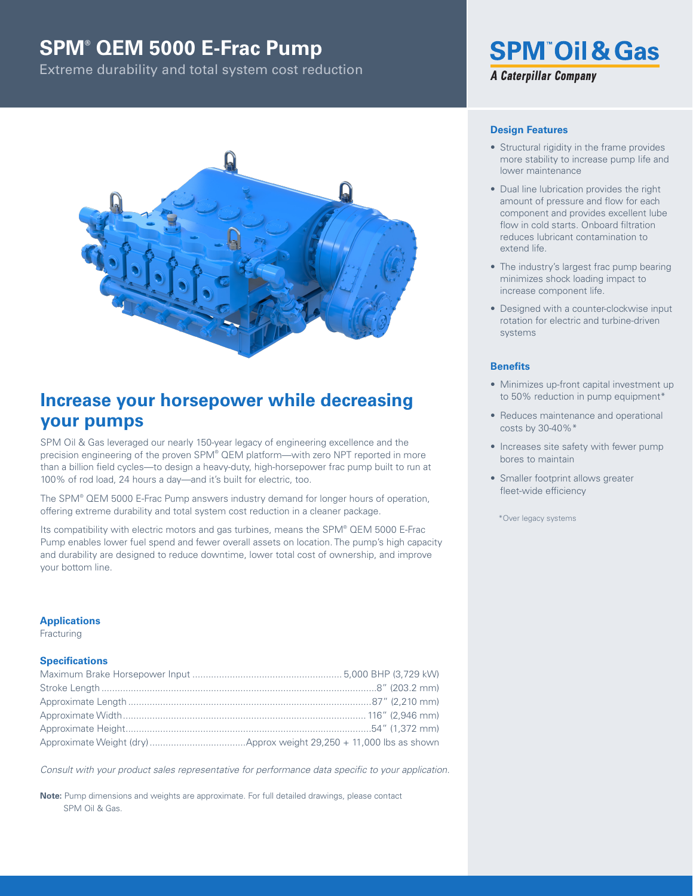## **SPM® QEM 5000 E-Frac Pump**

Extreme durability and total system cost reduction



## **Increase your horsepower while decreasing your pumps**

SPM Oil & Gas leveraged our nearly 150-year legacy of engineering excellence and the precision engineering of the proven SPM® QEM platform—with zero NPT reported in more than a billion field cycles—to design a heavy-duty, high-horsepower frac pump built to run at 100% of rod load, 24 hours a day—and it's built for electric, too.

The SPM® QEM 5000 E-Frac Pump answers industry demand for longer hours of operation, offering extreme durability and total system cost reduction in a cleaner package.

Its compatibility with electric motors and gas turbines, means the SPM® QEM 5000 E-Frac Pump enables lower fuel spend and fewer overall assets on location. The pump's high capacity and durability are designed to reduce downtime, lower total cost of ownership, and improve your bottom line.

### **Applications**

Fracturing

### **Specifications**

*Consult with your product sales representative for performance data specific to your application.*

**Note:** Pump dimensions and weights are approximate. For full detailed drawings, please contact SPM Oil & Gas.

# **SPM<sup>®</sup>Oil & Gas A Caterpillar Company**

## **Design Features**

- Structural rigidity in the frame provides more stability to increase pump Iife and lower maintenance
- Dual line lubrication provides the right amount of pressure and flow for each component and provides excellent lube flow in cold starts. Onboard filtration reduces lubricant contamination to extend life.
- The industry's largest frac pump bearing minimizes shock loading impact to increase component life.
- Designed with a counter-clockwise input rotation for electric and turbine-driven systems

## **Benefits**

- Minimizes up-front capital investment up to 50% reduction in pump equipment\*
- Reduces maintenance and operational costs by 30-40%\*
- Increases site safety with fewer pump bores to maintain
- Smaller footprint allows greater fleet-wide efficiency

\*Over legacy systems